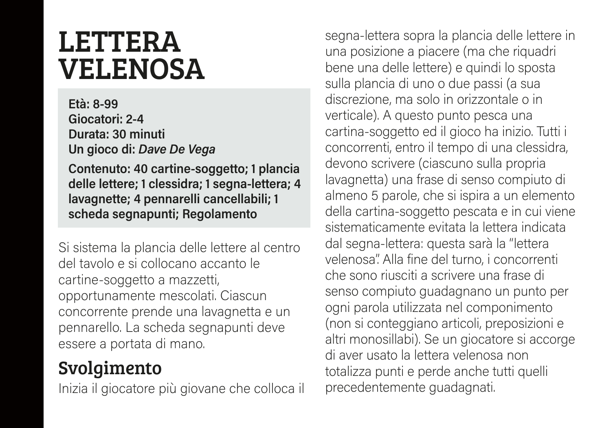## **LETTERA VELENOSA**

Età: 8-99 Giocatori: 2-4 Durata: 30 minuti Un gioco di: Dave De Vega

Contenuto: 40 cartine-soggetto; 1 plancia delle lettere; 1 clessidra; 1 segna-lettera; 4 lavagnette: 4 pennarelli cancellabili: 1 scheda segnapunti: Regolamento

Si sistema la plancia delle lettere al centro del tavolo e si collocano accanto le cartine-soggetto a mazzetti, opportunamente mescolati. Ciascun concorrente prende una lavagnetta e un pennarello. La scheda segnapunti deve essere a portata di mano.

## Svolgimento

Inizia il giocatore più giovane che colloca il

segna-lettera sopra la plancia delle lettere in una posizione a piacere (ma che riquadri bene una delle lettere) e quindi lo sposta sulla plancia di uno o due passi (a sua discrezione, ma solo in orizzontale o in verticale). A questo punto pesca una cartina-soggetto ed il gioco ha inizio. Tutti i concorrenti, entro il tempo di una clessidra, devono scrivere (ciascuno sulla propria lavagnetta) una frase di senso compiuto di almeno 5 parole, che si ispira a un elemento della cartina-soggetto pescata e in cui viene sistematicamente evitata la lettera indicata dal segna-lettera: questa sarà la "lettera velenosa". Alla fine del turno, i concorrenti che sono riusciti a scrivere una frase di senso compiuto guadagnano un punto per ogni parola utilizzata nel componimento (non si conteggiano articoli, preposizioni e altri monosillabi). Se un giocatore si accorge di aver usato la lettera velenosa non totalizza punti e perde anche tutti quelli precedentemente guadagnati.